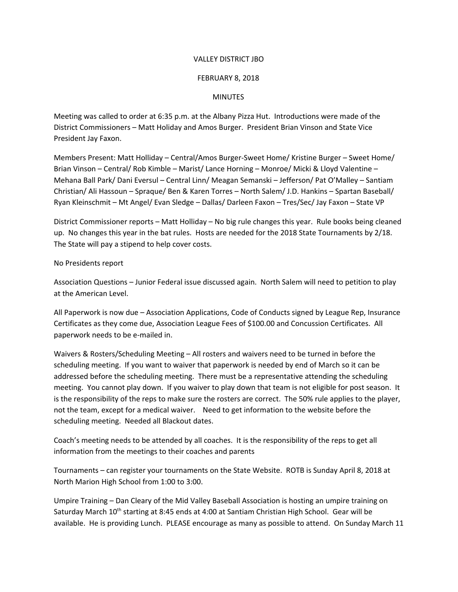## VALLEY DISTRICT JBO

## FEBRUARY 8, 2018

## MINUTES

Meeting was called to order at 6:35 p.m. at the Albany Pizza Hut. Introductions were made of the District Commissioners – Matt Holiday and Amos Burger. President Brian Vinson and State Vice President Jay Faxon.

Members Present: Matt Holliday – Central/Amos Burger-Sweet Home/ Kristine Burger – Sweet Home/ Brian Vinson – Central/ Rob Kimble – Marist/ Lance Horning – Monroe/ Micki & Lloyd Valentine – Mehana Ball Park/ Dani Eversul – Central Linn/ Meagan Semanski – Jefferson/ Pat O'Malley – Santiam Christian/ Ali Hassoun – Spraque/ Ben & Karen Torres – North Salem/ J.D. Hankins – Spartan Baseball/ Ryan Kleinschmit – Mt Angel/ Evan Sledge – Dallas/ Darleen Faxon – Tres/Sec/ Jay Faxon – State VP

District Commissioner reports – Matt Holliday – No big rule changes this year. Rule books being cleaned up. No changes this year in the bat rules. Hosts are needed for the 2018 State Tournaments by 2/18. The State will pay a stipend to help cover costs.

No Presidents report

Association Questions – Junior Federal issue discussed again. North Salem will need to petition to play at the American Level.

All Paperwork is now due – Association Applications, Code of Conducts signed by League Rep, Insurance Certificates as they come due, Association League Fees of \$100.00 and Concussion Certificates. All paperwork needs to be e-mailed in.

Waivers & Rosters/Scheduling Meeting – All rosters and waivers need to be turned in before the scheduling meeting. If you want to waiver that paperwork is needed by end of March so it can be addressed before the scheduling meeting. There must be a representative attending the scheduling meeting. You cannot play down. If you waiver to play down that team is not eligible for post season. It is the responsibility of the reps to make sure the rosters are correct. The 50% rule applies to the player, not the team, except for a medical waiver. Need to get information to the website before the scheduling meeting. Needed all Blackout dates.

Coach's meeting needs to be attended by all coaches. It is the responsibility of the reps to get all information from the meetings to their coaches and parents

Tournaments – can register your tournaments on the State Website. ROTB is Sunday April 8, 2018 at North Marion High School from 1:00 to 3:00.

Umpire Training – Dan Cleary of the Mid Valley Baseball Association is hosting an umpire training on Saturday March 10<sup>th</sup> starting at 8:45 ends at 4:00 at Santiam Christian High School. Gear will be available. He is providing Lunch. PLEASE encourage as many as possible to attend. On Sunday March 11